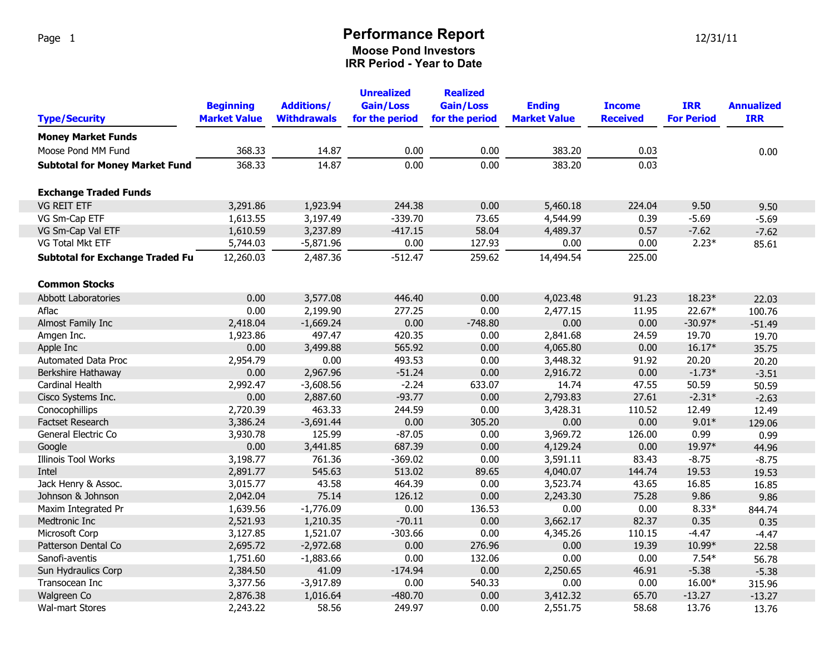## **Moose Pond Investors** Page 1 **Page 1 Performance Report IRR Period - Year to Date**

|--|

| <b>Type/Security</b>                   | <b>Beginning</b><br><b>Market Value</b> | <b>Additions/</b><br><b>Withdrawals</b> | <b>Unrealized</b><br><b>Gain/Loss</b><br>for the period | <b>Realized</b><br><b>Gain/Loss</b><br>for the period | <b>Ending</b><br><b>Market Value</b> | <b>Income</b><br><b>Received</b> | <b>IRR</b><br><b>For Period</b> | <b>Annualized</b><br><b>IRR</b> |
|----------------------------------------|-----------------------------------------|-----------------------------------------|---------------------------------------------------------|-------------------------------------------------------|--------------------------------------|----------------------------------|---------------------------------|---------------------------------|
| <b>Money Market Funds</b>              |                                         |                                         |                                                         |                                                       |                                      |                                  |                                 |                                 |
| Moose Pond MM Fund                     | 368.33                                  | 14.87                                   | 0.00                                                    | 0.00                                                  | 383.20                               | 0.03                             |                                 | 0.00                            |
| <b>Subtotal for Money Market Fund</b>  | 368.33                                  | 14.87                                   | 0.00                                                    | 0.00                                                  | 383.20                               | 0.03                             |                                 |                                 |
| <b>Exchange Traded Funds</b>           |                                         |                                         |                                                         |                                                       |                                      |                                  |                                 |                                 |
| <b>VG REIT ETF</b>                     | 3,291.86                                | 1,923.94                                | 244.38                                                  | 0.00                                                  | 5,460.18                             | 224.04                           | 9.50                            | 9.50                            |
| VG Sm-Cap ETF                          | 1,613.55                                | 3,197.49                                | $-339.70$                                               | 73.65                                                 | 4,544.99                             | 0.39                             | $-5.69$                         | $-5.69$                         |
| VG Sm-Cap Val ETF                      | 1,610.59                                | 3,237.89                                | $-417.15$                                               | 58.04                                                 | 4,489.37                             | 0.57                             | $-7.62$                         | $-7.62$                         |
| <b>VG Total Mkt ETF</b>                | 5,744.03                                | $-5,871.96$                             | 0.00                                                    | 127.93                                                | 0.00                                 | 0.00                             | $2.23*$                         | 85.61                           |
| <b>Subtotal for Exchange Traded Fu</b> | 12,260.03                               | 2,487.36                                | $-512.47$                                               | 259.62                                                | 14,494.54                            | 225.00                           |                                 |                                 |
| <b>Common Stocks</b>                   |                                         |                                         |                                                         |                                                       |                                      |                                  |                                 |                                 |
| <b>Abbott Laboratories</b>             | 0.00                                    | 3,577.08                                | 446.40                                                  | 0.00                                                  | 4,023.48                             | 91.23                            | 18.23*                          | 22.03                           |
| Aflac                                  | 0.00                                    | 2,199.90                                | 277.25                                                  | 0.00                                                  | 2,477.15                             | 11.95                            | 22.67*                          | 100.76                          |
| Almost Family Inc                      | 2,418.04                                | $-1,669.24$                             | 0.00                                                    | $-748.80$                                             | 0.00                                 | 0.00                             | $-30.97*$                       | $-51.49$                        |
| Amgen Inc.                             | 1,923.86                                | 497.47                                  | 420.35                                                  | 0.00                                                  | 2,841.68                             | 24.59                            | 19.70                           | 19.70                           |
| Apple Inc                              | 0.00                                    | 3,499.88                                | 565.92                                                  | 0.00                                                  | 4,065.80                             | 0.00                             | $16.17*$                        | 35.75                           |
| Automated Data Proc                    | 2,954.79                                | 0.00                                    | 493.53                                                  | 0.00                                                  | 3,448.32                             | 91.92                            | 20.20                           | 20.20                           |
| Berkshire Hathaway                     | 0.00                                    | 2,967.96                                | $-51.24$                                                | 0.00                                                  | 2,916.72                             | 0.00                             | $-1.73*$                        | $-3.51$                         |
| Cardinal Health                        | 2,992.47                                | $-3,608.56$                             | $-2.24$                                                 | 633.07                                                | 14.74                                | 47.55                            | 50.59                           | 50.59                           |
| Cisco Systems Inc.                     | 0.00                                    | 2,887.60                                | $-93.77$                                                | 0.00                                                  | 2,793.83                             | 27.61                            | $-2.31*$                        | $-2.63$                         |
| Conocophillips                         | 2,720.39                                | 463.33                                  | 244.59                                                  | 0.00                                                  | 3,428.31                             | 110.52                           | 12.49                           | 12.49                           |
| Factset Research                       | 3,386.24                                | $-3,691.44$                             | 0.00                                                    | 305.20                                                | 0.00                                 | 0.00                             | $9.01*$                         | 129.06                          |
| General Electric Co                    | 3,930.78                                | 125.99                                  | $-87.05$                                                | 0.00                                                  | 3,969.72                             | 126.00                           | 0.99                            | 0.99                            |
| Google                                 | 0.00                                    | 3,441.85                                | 687.39                                                  | 0.00                                                  | 4,129.24                             | 0.00                             | 19.97*                          | 44.96                           |
| Illinois Tool Works                    | 3,198.77                                | 761.36                                  | $-369.02$                                               | 0.00                                                  | 3,591.11                             | 83.43                            | $-8.75$                         | $-8.75$                         |
| Intel                                  | 2,891.77                                | 545.63                                  | 513.02                                                  | 89.65                                                 | 4,040.07                             | 144.74                           | 19.53                           | 19.53                           |
| Jack Henry & Assoc.                    | 3,015.77                                | 43.58                                   | 464.39                                                  | 0.00                                                  | 3,523.74                             | 43.65                            | 16.85                           | 16.85                           |
| Johnson & Johnson                      | 2,042.04                                | 75.14                                   | 126.12                                                  | 0.00                                                  | 2,243.30                             | 75.28                            | 9.86                            | 9.86                            |
| Maxim Integrated Pr                    | 1,639.56                                | $-1,776.09$                             | 0.00                                                    | 136.53                                                | 0.00                                 | 0.00                             | $8.33*$                         | 844.74                          |
| Medtronic Inc                          | 2,521.93                                | 1,210.35                                | $-70.11$                                                | 0.00                                                  | 3,662.17                             | 82.37                            | 0.35                            | 0.35                            |
| Microsoft Corp                         | 3,127.85                                | 1,521.07                                | $-303.66$                                               | 0.00                                                  | 4,345.26                             | 110.15                           | $-4.47$                         | $-4.47$                         |
| Patterson Dental Co                    | 2,695.72                                | $-2,972.68$                             | 0.00                                                    | 276.96                                                | 0.00                                 | 19.39                            | 10.99*                          | 22.58                           |
| Sanofi-aventis                         | 1,751.60                                | $-1,883.66$                             | 0.00                                                    | 132.06                                                | 0.00                                 | 0.00                             | $7.54*$                         | 56.78                           |
| Sun Hydraulics Corp                    | 2,384.50                                | 41.09                                   | $-174.94$                                               | 0.00                                                  | 2,250.65                             | 46.91                            | $-5.38$                         | $-5.38$                         |
| Transocean Inc                         | 3,377.56                                | $-3,917.89$                             | 0.00                                                    | 540.33                                                | 0.00                                 | 0.00                             | 16.00*                          | 315.96                          |
| Walgreen Co                            | 2,876.38                                | 1,016.64                                | $-480.70$                                               | 0.00                                                  | 3,412.32                             | 65.70                            | $-13.27$                        | $-13.27$                        |
| <b>Wal-mart Stores</b>                 | 2,243.22                                | 58.56                                   | 249.97                                                  | 0.00                                                  | 2,551.75                             | 58.68                            | 13.76                           | 13.76                           |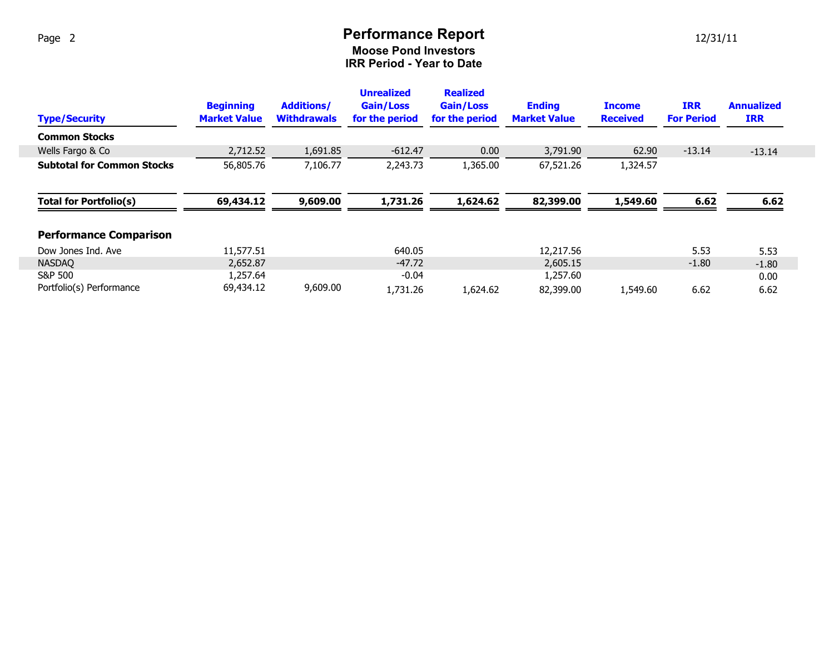## **Moose Pond Investors** Page 2 **Performance Report** 12/31/21/21/21/22 **IRR Period - Year to Date**

|--|--|

| <b>Type/Security</b>              | <b>Beginning</b><br><b>Market Value</b> | <b>Additions/</b><br><b>Withdrawals</b> | <b>Unrealized</b><br>Gain/Loss<br>for the period | <b>Realized</b><br>Gain/Loss<br>for the period | <b>Ending</b><br><b>Market Value</b> | <b>Income</b><br><b>Received</b> | <b>IRR</b><br><b>For Period</b> | <b>Annualized</b><br><b>IRR</b> |
|-----------------------------------|-----------------------------------------|-----------------------------------------|--------------------------------------------------|------------------------------------------------|--------------------------------------|----------------------------------|---------------------------------|---------------------------------|
| <b>Common Stocks</b>              |                                         |                                         |                                                  |                                                |                                      |                                  |                                 |                                 |
| Wells Fargo & Co                  | 2,712.52                                | 1,691.85                                | $-612.47$                                        | 0.00                                           | 3,791.90                             | 62.90                            | $-13.14$                        | $-13.14$                        |
| <b>Subtotal for Common Stocks</b> | 56,805.76                               | 7,106.77                                | 2,243.73                                         | 1,365.00                                       | 67,521.26                            | 1,324.57                         |                                 |                                 |
| <b>Total for Portfolio(s)</b>     | 69,434.12                               | 9,609.00                                | 1,731.26                                         | 1,624.62                                       | 82,399.00                            | 1,549.60                         | 6.62                            | 6.62                            |
| <b>Performance Comparison</b>     |                                         |                                         |                                                  |                                                |                                      |                                  |                                 |                                 |
| Dow Jones Ind. Ave                | 11,577.51                               |                                         | 640.05                                           |                                                | 12,217.56                            |                                  | 5.53                            | 5.53                            |
| <b>NASDAQ</b>                     | 2,652.87                                |                                         | $-47.72$                                         |                                                | 2,605.15                             |                                  | $-1.80$                         | $-1.80$                         |
| S&P 500                           | 1,257.64                                |                                         | $-0.04$                                          |                                                | 1,257.60                             |                                  |                                 | 0.00                            |
| Portfolio(s) Performance          | 69,434.12                               | 9,609.00                                | 1,731.26                                         | 1,624.62                                       | 82,399.00                            | 1,549.60                         | 6.62                            | 6.62                            |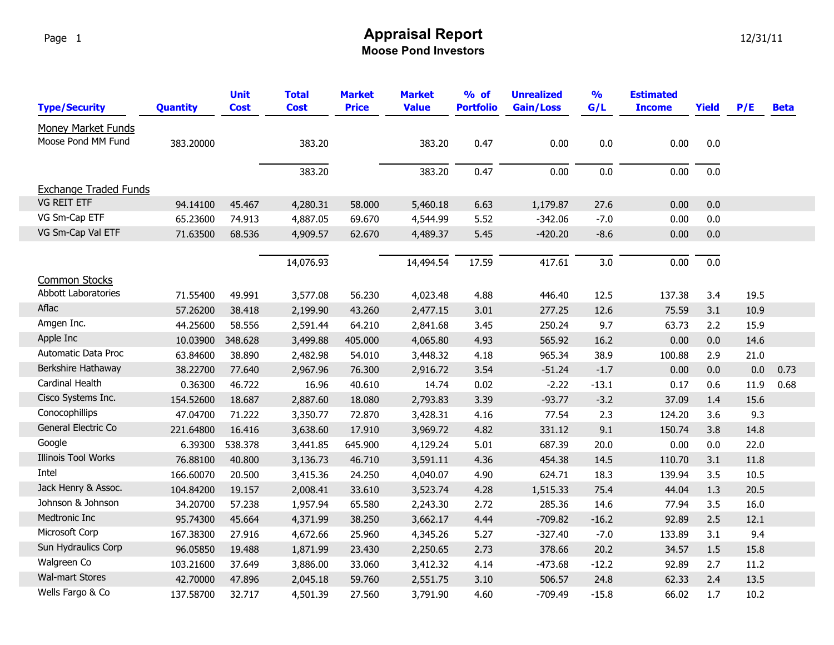## **Moose Pond Investors** Page 1 **Appraisal Report** 22/31/11

| <b>Type/Security</b>         | Quantity  | <b>Unit</b><br><b>Cost</b> | <b>Total</b><br><b>Cost</b> | <b>Market</b><br><b>Price</b> | <b>Market</b><br><b>Value</b> | % of<br><b>Portfolio</b> | <b>Unrealized</b><br>Gain/Loss | $\frac{9}{6}$<br>G/L | <b>Estimated</b><br><b>Income</b> | <b>Yield</b> | P/E     | <b>Beta</b> |
|------------------------------|-----------|----------------------------|-----------------------------|-------------------------------|-------------------------------|--------------------------|--------------------------------|----------------------|-----------------------------------|--------------|---------|-------------|
| <b>Money Market Funds</b>    |           |                            |                             |                               |                               |                          |                                |                      |                                   |              |         |             |
| Moose Pond MM Fund           | 383.20000 |                            | 383.20                      |                               | 383.20                        | 0.47                     | 0.00                           | 0.0                  | 0.00                              | 0.0          |         |             |
|                              |           |                            | 383.20                      |                               | 383.20                        | 0.47                     | 0.00                           | 0.0                  | 0.00                              | 0.0          |         |             |
| <b>Exchange Traded Funds</b> |           |                            |                             |                               |                               |                          |                                |                      |                                   |              |         |             |
| <b>VG REIT ETF</b>           | 94.14100  | 45.467                     | 4,280.31                    | 58.000                        | 5,460.18                      | 6.63                     | 1,179.87                       | 27.6                 | 0.00                              | $0.0\,$      |         |             |
| VG Sm-Cap ETF                | 65.23600  | 74.913                     | 4,887.05                    | 69.670                        | 4,544.99                      | 5.52                     | $-342.06$                      | $-7.0$               | 0.00                              | 0.0          |         |             |
| VG Sm-Cap Val ETF            | 71.63500  | 68.536                     | 4,909.57                    | 62.670                        | 4,489.37                      | 5.45                     | $-420.20$                      | $-8.6$               | 0.00                              | 0.0          |         |             |
|                              |           |                            |                             |                               |                               |                          |                                |                      |                                   |              |         |             |
|                              |           |                            | 14,076.93                   |                               | 14,494.54                     | 17.59                    | 417.61                         | 3.0                  | 0.00                              | 0.0          |         |             |
| <b>Common Stocks</b>         |           |                            |                             |                               |                               |                          |                                |                      |                                   |              |         |             |
| <b>Abbott Laboratories</b>   | 71.55400  | 49.991                     | 3,577.08                    | 56.230                        | 4,023.48                      | 4.88                     | 446.40                         | 12.5                 | 137.38                            | 3.4          | 19.5    |             |
| Aflac                        | 57.26200  | 38.418                     | 2,199.90                    | 43.260                        | 2,477.15                      | 3.01                     | 277.25                         | 12.6                 | 75.59                             | 3.1          | 10.9    |             |
| Amgen Inc.                   | 44.25600  | 58.556                     | 2,591.44                    | 64.210                        | 2,841.68                      | 3.45                     | 250.24                         | 9.7                  | 63.73                             | 2.2          | 15.9    |             |
| Apple Inc                    | 10.03900  | 348.628                    | 3,499.88                    | 405.000                       | 4,065.80                      | 4.93                     | 565.92                         | 16.2                 | 0.00                              | 0.0          | 14.6    |             |
| Automatic Data Proc          | 63.84600  | 38.890                     | 2,482.98                    | 54.010                        | 3,448.32                      | 4.18                     | 965.34                         | 38.9                 | 100.88                            | 2.9          | 21.0    |             |
| Berkshire Hathaway           | 38.22700  | 77.640                     | 2,967.96                    | 76.300                        | 2,916.72                      | 3.54                     | $-51.24$                       | $-1.7$               | 0.00                              | 0.0          | $0.0\,$ | 0.73        |
| Cardinal Health              | 0.36300   | 46.722                     | 16.96                       | 40.610                        | 14.74                         | 0.02                     | $-2.22$                        | $-13.1$              | 0.17                              | 0.6          | 11.9    | 0.68        |
| Cisco Systems Inc.           | 154.52600 | 18.687                     | 2,887.60                    | 18.080                        | 2,793.83                      | 3.39                     | $-93.77$                       | $-3.2$               | 37.09                             | 1.4          | 15.6    |             |
| Conocophillips               | 47.04700  | 71.222                     | 3,350.77                    | 72.870                        | 3,428.31                      | 4.16                     | 77.54                          | 2.3                  | 124.20                            | 3.6          | 9.3     |             |
| General Electric Co          | 221.64800 | 16.416                     | 3,638.60                    | 17.910                        | 3,969.72                      | 4.82                     | 331.12                         | 9.1                  | 150.74                            | 3.8          | 14.8    |             |
| Google                       | 6.39300   | 538.378                    | 3,441.85                    | 645.900                       | 4,129.24                      | 5.01                     | 687.39                         | 20.0                 | 0.00                              | 0.0          | 22.0    |             |
| <b>Illinois Tool Works</b>   | 76.88100  | 40.800                     | 3,136.73                    | 46.710                        | 3,591.11                      | 4.36                     | 454.38                         | 14.5                 | 110.70                            | 3.1          | 11.8    |             |
| Intel                        | 166.60070 | 20.500                     | 3,415.36                    | 24.250                        | 4,040.07                      | 4.90                     | 624.71                         | 18.3                 | 139.94                            | 3.5          | 10.5    |             |
| Jack Henry & Assoc.          | 104.84200 | 19.157                     | 2,008.41                    | 33.610                        | 3,523.74                      | 4.28                     | 1,515.33                       | 75.4                 | 44.04                             | 1.3          | 20.5    |             |
| Johnson & Johnson            | 34.20700  | 57.238                     | 1,957.94                    | 65.580                        | 2,243.30                      | 2.72                     | 285.36                         | 14.6                 | 77.94                             | 3.5          | 16.0    |             |
| Medtronic Inc                | 95.74300  | 45.664                     | 4,371.99                    | 38.250                        | 3,662.17                      | 4.44                     | $-709.82$                      | $-16.2$              | 92.89                             | 2.5          | 12.1    |             |
| Microsoft Corp               | 167.38300 | 27.916                     | 4,672.66                    | 25.960                        | 4,345.26                      | 5.27                     | $-327.40$                      | $-7.0$               | 133.89                            | 3.1          | 9.4     |             |
| Sun Hydraulics Corp          | 96.05850  | 19.488                     | 1,871.99                    | 23.430                        | 2,250.65                      | 2.73                     | 378.66                         | 20.2                 | 34.57                             | 1.5          | 15.8    |             |
| Walgreen Co                  | 103.21600 | 37.649                     | 3,886.00                    | 33.060                        | 3,412.32                      | 4.14                     | $-473.68$                      | $-12.2$              | 92.89                             | 2.7          | 11.2    |             |
| <b>Wal-mart Stores</b>       | 42.70000  | 47.896                     | 2,045.18                    | 59.760                        | 2,551.75                      | 3.10                     | 506.57                         | 24.8                 | 62.33                             | 2.4          | 13.5    |             |
| Wells Fargo & Co             | 137.58700 | 32.717                     | 4,501.39                    | 27.560                        | 3,791.90                      | 4.60                     | $-709.49$                      | $-15.8$              | 66.02                             | 1.7          | 10.2    |             |